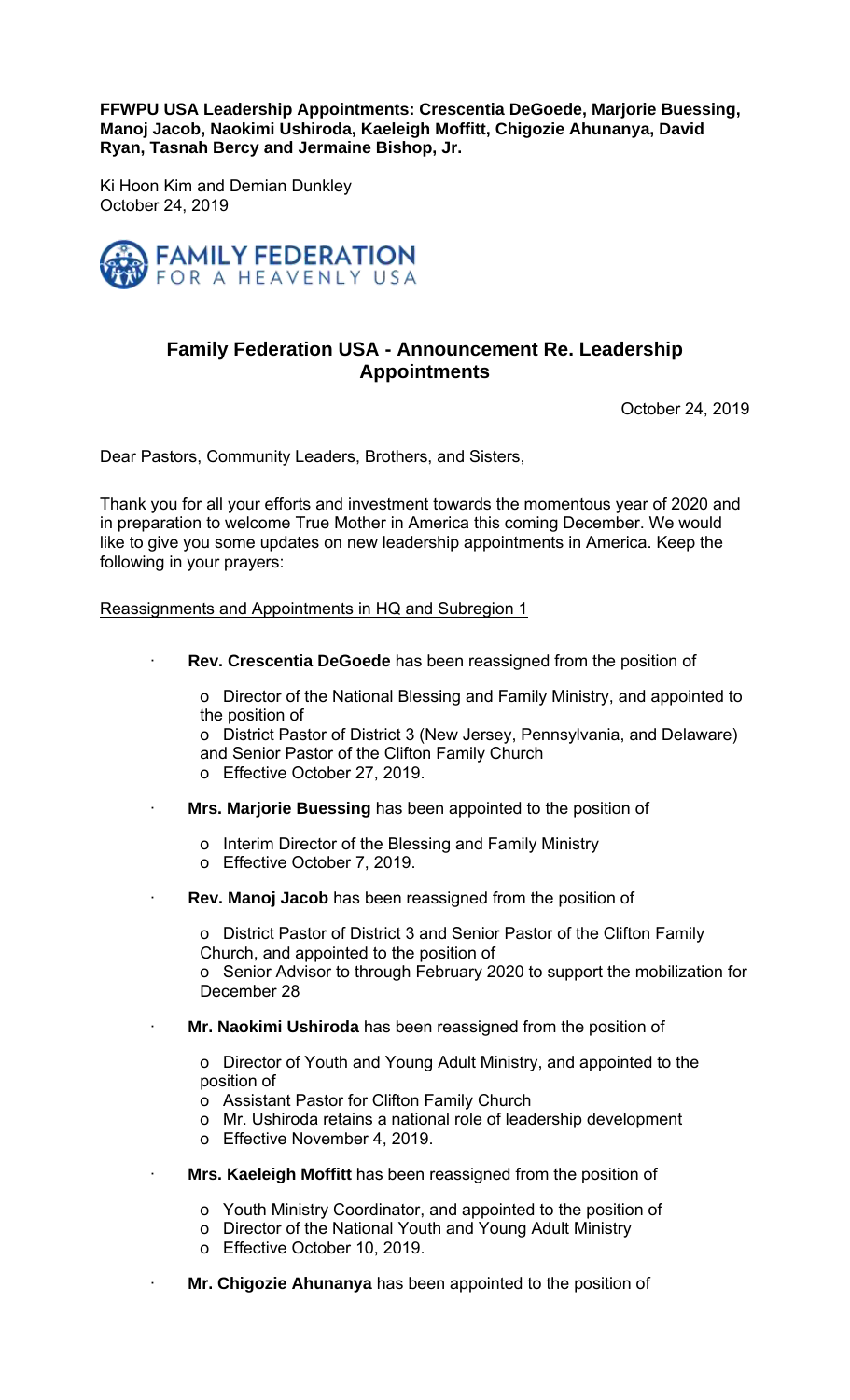**FFWPU USA Leadership Appointments: Crescentia DeGoede, Marjorie Buessing, Manoj Jacob, Naokimi Ushiroda, Kaeleigh Moffitt, Chigozie Ahunanya, David Ryan, Tasnah Bercy and Jermaine Bishop, Jr.** 

Ki Hoon Kim and Demian Dunkley October 24, 2019



## **Family Federation USA - Announcement Re. Leadership Appointments**

October 24, 2019

Dear Pastors, Community Leaders, Brothers, and Sisters,

Thank you for all your efforts and investment towards the momentous year of 2020 and in preparation to welcome True Mother in America this coming December. We would like to give you some updates on new leadership appointments in America. Keep the following in your prayers:

Reassignments and Appointments in HQ and Subregion 1

**Rev. Crescentia DeGoede** has been reassigned from the position of

o Director of the National Blessing and Family Ministry, and appointed to the position of

o District Pastor of District 3 (New Jersey, Pennsylvania, and Delaware) and Senior Pastor of the Clifton Family Church

- o Effective October 27, 2019.
- · **Mrs. Marjorie Buessing** has been appointed to the position of
	- o Interim Director of the Blessing and Family Ministry
	- o Effective October 7, 2019.
- **Rev. Manoj Jacob** has been reassigned from the position of

o District Pastor of District 3 and Senior Pastor of the Clifton Family Church, and appointed to the position of

o Senior Advisor to through February 2020 to support the mobilization for December 28

· **Mr. Naokimi Ushiroda** has been reassigned from the position of

o Director of Youth and Young Adult Ministry, and appointed to the position of

- o Assistant Pastor for Clifton Family Church
- o Mr. Ushiroda retains a national role of leadership development
- o Effective November 4, 2019.
- **Mrs. Kaeleigh Moffitt** has been reassigned from the position of
	- o Youth Ministry Coordinator, and appointed to the position of
	- o Director of the National Youth and Young Adult Ministry
	- o Effective October 10, 2019.
- Mr. Chigozie Ahunanya has been appointed to the position of